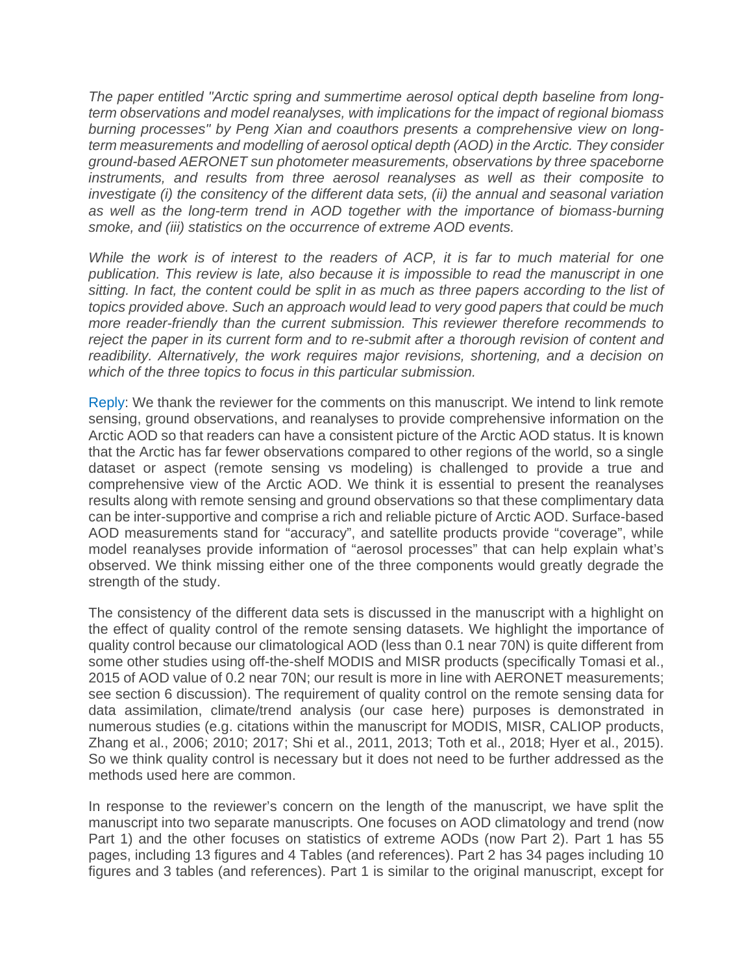*The paper entitled "Arctic spring and summertime aerosol optical depth baseline from longterm observations and model reanalyses, with implications for the impact of regional biomass burning processes" by Peng Xian and coauthors presents a comprehensive view on longterm measurements and modelling of aerosol optical depth (AOD) in the Arctic. They consider ground-based AERONET sun photometer measurements, observations by three spaceborne instruments, and results from three aerosol reanalyses as well as their composite to investigate (i) the consitency of the different data sets, (ii) the annual and seasonal variation*  as well as the long-term trend in AOD together with the importance of biomass-burning *smoke, and (iii) statistics on the occurrence of extreme AOD events.*

*While the work is of interest to the readers of ACP, it is far to much material for one publication. This review is late, also because it is impossible to read the manuscript in one sitting. In fact, the content could be split in as much as three papers according to the list of topics provided above. Such an approach would lead to very good papers that could be much more reader-friendly than the current submission. This reviewer therefore recommends to reject the paper in its current form and to re-submit after a thorough revision of content and readibility. Alternatively, the work requires major revisions, shortening, and a decision on which of the three topics to focus in this particular submission.*

Reply: We thank the reviewer for the comments on this manuscript. We intend to link remote sensing, ground observations, and reanalyses to provide comprehensive information on the Arctic AOD so that readers can have a consistent picture of the Arctic AOD status. It is known that the Arctic has far fewer observations compared to other regions of the world, so a single dataset or aspect (remote sensing vs modeling) is challenged to provide a true and comprehensive view of the Arctic AOD. We think it is essential to present the reanalyses results along with remote sensing and ground observations so that these complimentary data can be inter-supportive and comprise a rich and reliable picture of Arctic AOD. Surface-based AOD measurements stand for "accuracy", and satellite products provide "coverage", while model reanalyses provide information of "aerosol processes" that can help explain what's observed. We think missing either one of the three components would greatly degrade the strength of the study.

The consistency of the different data sets is discussed in the manuscript with a highlight on the effect of quality control of the remote sensing datasets. We highlight the importance of quality control because our climatological AOD (less than 0.1 near 70N) is quite different from some other studies using off-the-shelf MODIS and MISR products (specifically Tomasi et al., 2015 of AOD value of 0.2 near 70N; our result is more in line with AERONET measurements; see section 6 discussion). The requirement of quality control on the remote sensing data for data assimilation, climate/trend analysis (our case here) purposes is demonstrated in numerous studies (e.g. citations within the manuscript for MODIS, MISR, CALIOP products, Zhang et al., 2006; 2010; 2017; Shi et al., 2011, 2013; Toth et al., 2018; Hyer et al., 2015). So we think quality control is necessary but it does not need to be further addressed as the methods used here are common.

In response to the reviewer's concern on the length of the manuscript, we have split the manuscript into two separate manuscripts. One focuses on AOD climatology and trend (now Part 1) and the other focuses on statistics of extreme AODs (now Part 2). Part 1 has 55 pages, including 13 figures and 4 Tables (and references). Part 2 has 34 pages including 10 figures and 3 tables (and references). Part 1 is similar to the original manuscript, except for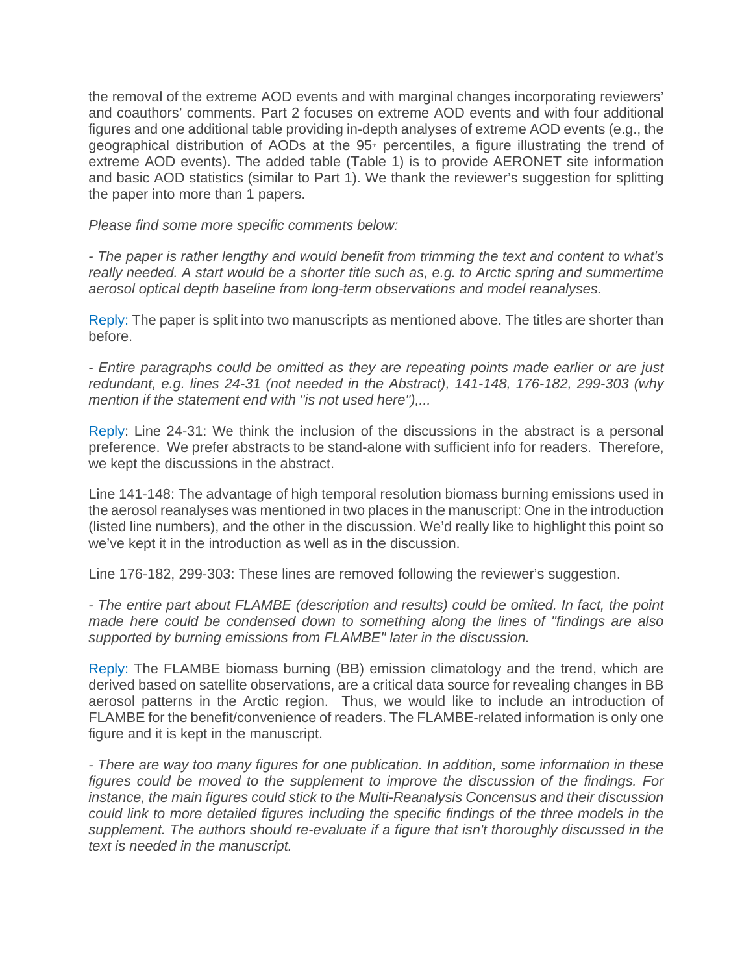the removal of the extreme AOD events and with marginal changes incorporating reviewers' and coauthors' comments. Part 2 focuses on extreme AOD events and with four additional figures and one additional table providing in-depth analyses of extreme AOD events (e.g., the geographical distribution of AODs at the 95<sup>th</sup> percentiles, a figure illustrating the trend of extreme AOD events). The added table (Table 1) is to provide AERONET site information and basic AOD statistics (similar to Part 1). We thank the reviewer's suggestion for splitting the paper into more than 1 papers.

*Please find some more specific comments below:*

*- The paper is rather lengthy and would benefit from trimming the text and content to what's really needed. A start would be a shorter title such as, e.g. to Arctic spring and summertime aerosol optical depth baseline from long-term observations and model reanalyses.*

Reply: The paper is split into two manuscripts as mentioned above. The titles are shorter than before.

*- Entire paragraphs could be omitted as they are repeating points made earlier or are just redundant, e.g. lines 24-31 (not needed in the Abstract), 141-148, 176-182, 299-303 (why mention if the statement end with "is not used here"),...*

Reply: Line 24-31: We think the inclusion of the discussions in the abstract is a personal preference. We prefer abstracts to be stand-alone with sufficient info for readers. Therefore, we kept the discussions in the abstract.

Line 141-148: The advantage of high temporal resolution biomass burning emissions used in the aerosol reanalyses was mentioned in two places in the manuscript: One in the introduction (listed line numbers), and the other in the discussion. We'd really like to highlight this point so we've kept it in the introduction as well as in the discussion.

Line 176-182, 299-303: These lines are removed following the reviewer's suggestion.

*- The entire part about FLAMBE (description and results) could be omited. In fact, the point made here could be condensed down to something along the lines of "findings are also supported by burning emissions from FLAMBE" later in the discussion.*

Reply: The FLAMBE biomass burning (BB) emission climatology and the trend, which are derived based on satellite observations, are a critical data source for revealing changes in BB aerosol patterns in the Arctic region. Thus, we would like to include an introduction of FLAMBE for the benefit/convenience of readers. The FLAMBE-related information is only one figure and it is kept in the manuscript.

*- There are way too many figures for one publication. In addition, some information in these figures could be moved to the supplement to improve the discussion of the findings. For instance, the main figures could stick to the Multi-Reanalysis Concensus and their discussion could link to more detailed figures including the specific findings of the three models in the supplement. The authors should re-evaluate if a figure that isn't thoroughly discussed in the text is needed in the manuscript.*